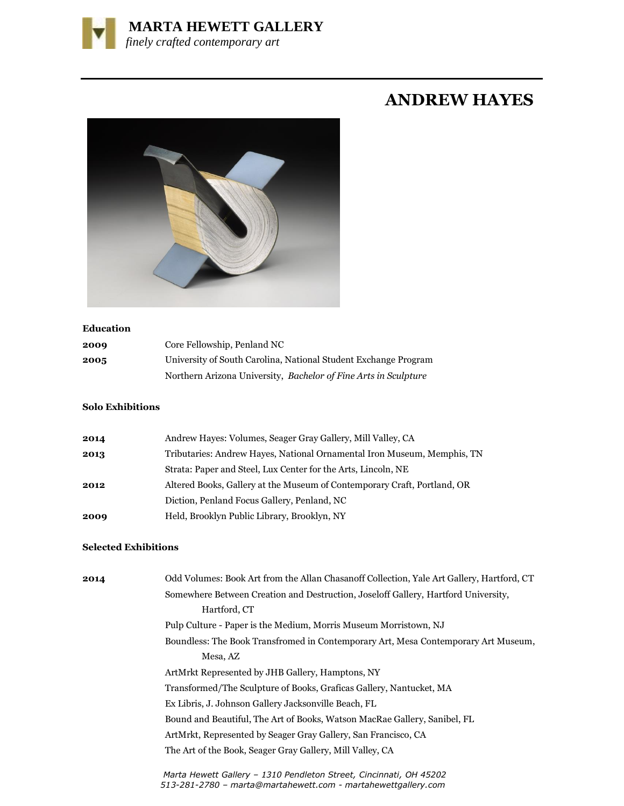

## **ANDREW HAYES**



## **Education**

| 2009 | Core Fellowship, Penland NC                                     |
|------|-----------------------------------------------------------------|
| 2005 | University of South Carolina, National Student Exchange Program |
|      | Northern Arizona University, Bachelor of Fine Arts in Sculpture |

## **Solo Exhibitions**

| 2014 | Andrew Hayes: Volumes, Seager Gray Gallery, Mill Valley, CA              |
|------|--------------------------------------------------------------------------|
| 2013 | Tributaries: Andrew Hayes, National Ornamental Iron Museum, Memphis, TN  |
|      | Strata: Paper and Steel, Lux Center for the Arts, Lincoln, NE            |
| 2012 | Altered Books, Gallery at the Museum of Contemporary Craft, Portland, OR |
|      | Diction, Penland Focus Gallery, Penland, NC                              |
| 2009 | Held, Brooklyn Public Library, Brooklyn, NY                              |
|      |                                                                          |

## **Selected Exhibitions**

| 2014 | Odd Volumes: Book Art from the Allan Chasanoff Collection, Yale Art Gallery, Hartford, CT                                           |
|------|-------------------------------------------------------------------------------------------------------------------------------------|
|      | Somewhere Between Creation and Destruction, Joseloff Gallery, Hartford University,                                                  |
|      | Hartford, CT                                                                                                                        |
|      | Pulp Culture - Paper is the Medium, Morris Museum Morristown, NJ                                                                    |
|      | Boundless: The Book Transfromed in Contemporary Art, Mesa Contemporary Art Museum,                                                  |
|      | Mesa, AZ                                                                                                                            |
|      | ArtMrkt Represented by JHB Gallery, Hamptons, NY                                                                                    |
|      | Transformed/The Sculpture of Books, Graficas Gallery, Nantucket, MA                                                                 |
|      | Ex Libris, J. Johnson Gallery Jacksonville Beach, FL                                                                                |
|      | Bound and Beautiful, The Art of Books, Watson MacRae Gallery, Sanibel, FL                                                           |
|      | ArtMrkt, Represented by Seager Gray Gallery, San Francisco, CA                                                                      |
|      | The Art of the Book, Seager Gray Gallery, Mill Valley, CA                                                                           |
|      | Marta Hewett Gallery - 1310 Pendleton Street, Cincinnati, OH 45202<br>513-281-2780 - marta@martahewett.com - martahewettgallery.com |